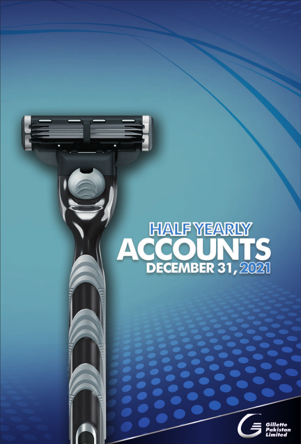# HALF YEARLY<br>ACCOUNTS<br>DECEMBER 31, 2021

.

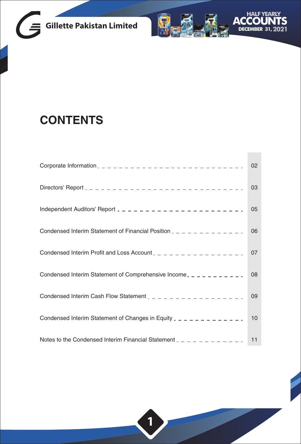



**Tara** 

# **CONTENTS**

|                                                                               | 02 |
|-------------------------------------------------------------------------------|----|
|                                                                               | 03 |
| Independent Auditors' Report $2 - 2 - 2 - 2 - 2 - 2 - 2 - 2 - 2 - 2 - 2$      | 05 |
| Condensed Interim Statement of Financial Position $2 - 2 - 2 - 2 - 2 - 2 - 2$ | 06 |
| Condensed Interim Profit and Loss Account $2 - 2 - 2 - 2 - 2 - 2 - 2 - 2$     | 07 |
| Condensed Interim Statement of Comprehensive Income _ _ _ _ _ _ _ _ _ _ _     | 08 |
| Condensed Interim Cash Flow Statement $2 - 2 - 2 - 2 - 2 - 2 - 2 - 2 - 2$     | 09 |
| Condensed Interim Statement of Changes in Equity $2 - 2 - 2 - 2 - 2 - 2 - 2$  | 10 |
| Notes to the Condensed Interim Financial Statement $2 - 2 - 2 - 2 - 2 = 1$    | 11 |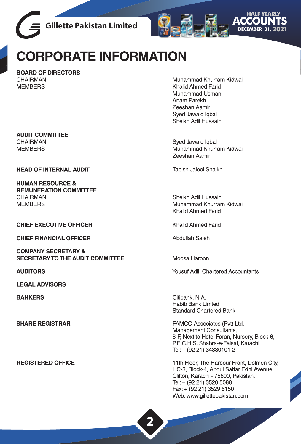



# CORPORATE INFORMATION

**BOARD OF DIRECTORS** CHAIRMAN **MEMBERS** 

**AUDIT COMMITTEE** CHAIRMAN **MEMBERS** 

**HEAD OF INTERNAL AUDIT** 

**HUMAN RESOURCE & REMUNERATION COMMITTEE** CHAIRMAN **MEMBERS** 

**CHIEF EXECUTIVE OFFICER** 

**CHIEF FINANCIAL OFFICER** 

**COMPANY SECRETARY & SECRETARY TO THE AUDIT COMMITTEE** 

**AUDITORS** 

**LEGAL ADVISORS** 

**BANKERS** 

**SHARE REGISTRAR** 

**REGISTERED OFFICE** 

Muhammad Khurram Kidwai Khalid Ahmed Farid Muhammad Usman Anam Parekh Zeeshan Aamir Sved Jawaid lobal Sheikh Adil Hussain

Sved Jawaid Igbal Muhammad Khurram Kidwai Zeeshan Aamir

Tabish Jaleel Shaikh

Sheikh Adil Hussain Muhammad Khurram Kidwai Khalid Ahmed Farid

Khalid Ahmed Farid

Ahdullah Saleh

Moosa Haroon

Yousuf Adil. Chartered Accountants

Citibank, N.A. Habib Bank Limted **Standard Chartered Bank** 

FAMCO Associates (Pvt) Ltd. Management Consultants, 8-F, Next to Hotel Faran, Nursery, Block-6, P.E.C.H.S. Shahra-e-Faisal, Karachi Tel: + (92 21) 34380101-2

11th Floor. The Harbour Front. Dolmen City. HC-3, Block-4, Abdul Sattar Edhi Avenue, Clifton, Karachi - 75600, Pakistan, Tel: + (92 21) 3520 5088 Fax: + (92 21) 3529 6150 Web: www.gillettepakistan.com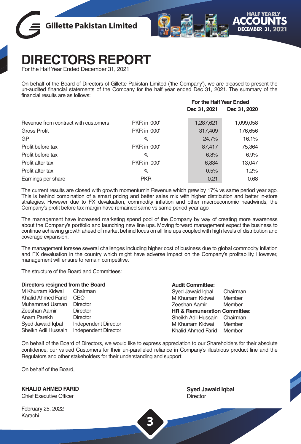



 **For the Half Year Ended**

# **DIRECTORS REPORT**

For the Half Year Ended December 31, 2021

On behalf of the Board of Directors of Gillette Pakistan Limited ('the Company'), we are pleased to present the un-audited financial statements of the Company for the half year ended Dec 31, 2021. The summary of the financial results are as follows:

|                                      |              | Dec 31, 2021 | Dec 31, 2020 |
|--------------------------------------|--------------|--------------|--------------|
| Revenue from contract with customers | PKR in '000' | 1,287,621    | 1,099,058    |
| Gross Profit                         | PKR in '000' | 317,409      | 176,656      |
| GP                                   | $\%$         | 24.7%        | 16.1%        |
| Profit before tax                    | PKR in '000' | 87,417       | 75,364       |
| Profit before tax                    | $\%$         | 6.8%         | 6.9%         |
| Profit after tax                     | PKR in '000' | 6,834        | 13,047       |
| Profit after tax                     | $\%$         | 0.5%         | 1.2%         |
| Earnings per share                   | <b>PKR</b>   | 0.21         | 0.68         |

The current results are closed with growth momentumin Revenue which grew by 17% vs same period year ago. This is behind combination of a smart pricing and better sales mix with higher distribution and better in-store strategies. However due to FX devaluation, commodity inflation and other macroeconomic headwinds, the Company's profit before tax margin have remained same vs same period year ago.

The management have increased marketing spend pool of the Company by way of creating more awareness about the Company's portfolio and launching new line ups. Moving forward management expect the business to continue achieving growth ahead of market behind focus on all line ups coupled with high levels of distribution and coverage expansion.

The management foresee several challenges including higher cost of business due to global commodity inflation and FX devaluation in the country which might have adverse impact on the Company's profitability. However, management will ensure to remain competitive.

The structure of the Board and Committees:

| Directors resigned from the Board |                      | <b>Audit Committee:</b>                 |          |
|-----------------------------------|----------------------|-----------------------------------------|----------|
| M Khurram Kidwai                  | Chairman             | Syed Jawaid Igbal                       | Chairman |
| Khalid Ahmed Farid                | CEO.                 | M Khurram Kidwai                        | Member   |
| Muhammad Usman                    | Director             | Zeeshan Aamir                           | Member   |
| Zeeshan Aamir                     | Director             | <b>HR &amp; Remuneration Committee:</b> |          |
| Anam Parekh                       | <b>Director</b>      | Sheikh Adil Hussain                     | Chairman |
| Syed Jawaid Igbal                 | Independent Director | M Khurram Kidwai                        | Member   |
| Sheikh Adil Hussain               | Independent Director | Khalid Ahmed Farid                      | Member   |

On behalf of the Board of Directors, we would like to express appreciation to our Shareholders for their absolute confidence, our valued Customers for their un-paralleled reliance in Company's illustrious product line and the Regulators and other stakeholders for their understanding and support.

**3**

On behalf of the Board,

**KHALID AHMED FARID**

Chief Executive Officer

February 25, 2022 Karachi

**Syed Jawaid Iqbal Director**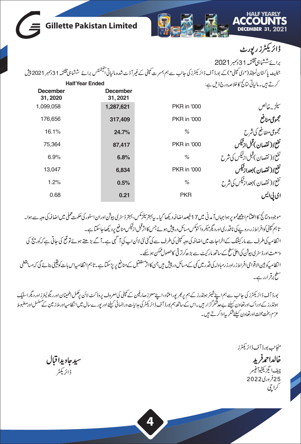| <b>DECEMBER 31, 2021</b>                   |                                                                                                                                                  |                             | <b>Gillette Pakistan Limited</b> |
|--------------------------------------------|--------------------------------------------------------------------------------------------------------------------------------------------------|-----------------------------|----------------------------------|
| ڈائریکٹرز رپورٹ                            |                                                                                                                                                  |                             |                                  |
| برائے ششاہی مختمہ 31دسمبر 2021             |                                                                                                                                                  |                             |                                  |
|                                            | جیلیٹ پاکستان لمیٹڈ ("دی کمپنی")کے بورڈ آف ڈائریکٹرز کی جانب سے ہم بمسرت کمپنی کے غیر آڈے شدہ الیاتی آئیکمٹس برائے ششاہی مختمہہ 31دسمبر 2021 پیش |                             |                                  |
| کرتے ہیں۔مالیاتی متائج کاخلاصہ درج ذیل ہے: |                                                                                                                                                  |                             | <b>Half Year Ended</b>           |
|                                            |                                                                                                                                                  | <b>December</b><br>31, 2021 | <b>December</b><br>31, 2020      |
| سيلزيه خالص                                | <b>PKR</b> in '000                                                                                                                               | 1,287,621                   | 1,099,058                        |
| مجموعى منافع                               | <b>PKR</b> in '000                                                                                                                               | 317,409                     | 176,656                          |
| مجموعى منفافع كى شرح                       | $\frac{1}{2}$                                                                                                                                    | 24.7%                       | 16.1%                            |
| نفع/(نقصان)قبل ذقيس                        | <b>PKR</b> in '000                                                                                                                               | 87,417                      | 75,364                           |
| نفع/(نقصان)قبل زئیکس کی شرح                | $\%$                                                                                                                                             | 6.8%                        | 6.9%                             |
| نفع((نقصان)بعدازقيس                        | <b>PKR</b> in '000                                                                                                                               | 6,834                       | 13,047                           |
| نفع/(نقصان)بعدازڤیکس کی شرح                | $\%$                                                                                                                                             | 0.5%                        | 1.2%                             |
| ای بی ایس                                  | <b>PKR</b>                                                                                                                                       | 0.21                        | 0.68                             |

موجود ہ ن نج کااختنام اچھےنمو پر ہوا جہاں آ مدنی میں 17فیصداضافیہ دیکھا گیا۔ پی<sup>ر</sup> ترکیش، بجتر ڈسٹری اسٹور کی تک علی میں اضافہ کی دجہ سے ہوا۔ تاہم کمپنی کوافراط زر،روپے کی ناقدری اورد نگرمیکر واکنوکس مسائل در پیش ہوئے جس کاانژقبل ازٹیکس منافع پر دیکھاجاسکتاہے۔ انظامیہ کی طرف سے مارکیٹنگ کےاخراجات میں اضافہ کی وجہ کمپنی کی طرف سے کی گئی نئی لائن اپ کی آگے ہیں جسے پوسے تو تع کی جاتی ہے کہ کوریج کی وسعت اورڈسٹری بیوشن کی اعلیٰ سطح کےساتھ مار کیٹ سے بڑھ کرتر تی کاحصول ممکن ہوسکے۔ انتظامیہ کوبین الاقوامی افراط زراورز رمبادلہ کی قدر میں کی سکت کر کے منافع کی سر پرسکتا ہے۔تاہم انتظامیہاس بات کویقینی بنائے گی کہ مسابقطی سطح برقرارر ہے۔

بورڈ آف ڈائریکٹرز کی جانب سے ہم اپنے شیئر ہولڈرز کے ہم پربھر پوراعتاد، اپنے معززصارفین کے میٹی کی موٹر کے میٹر اور بگولیفرز اور دیگراسٹیک ہولڈرز کےادراک اورتعاون کیلئے بےحدشم گزار میں۔اس کے ساتھ ہم بورڈ آف ڈائریکٹرکی مدایات ورہنمائی کیلئے اور نیورےسال میں انظامیہاورملاز مین نے مسلسل اور مفبوط عزم، بخت محنت اورتعاون کیلئے شکر بیادا کرتے ہیں۔

منجانب بورڈ آف ڈائریکٹرز خالداحمرفريد چيف ايگزيکڻيوآ فيسر 25فروری2022 کراچی

سيدجاويدا قبال ڈائریکٹر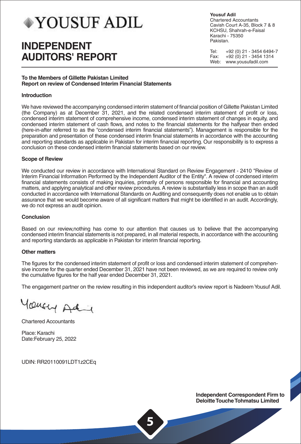# **YOUSUF ADIL**

# **INDEPENDENT AUDITORS' REPORT**

**Yousuf Adil** Chartered Accountants Cavish Court A-35, Block 7 & 8 KCHSU, Shahrah-e-Faisal Karachi - 75350 Pakistan.

Tel: +92 (0) 21 - 3454 6494-7<br>Eax: +92 (0) 21 - 3454 1314  $+92(0)$  21 - 3454 1314 Web: www.yousufadil.com

# **To the Members of Gillette Pakistan Limited Report on review of Condensed Interim Financial Statements**

# **Introduction**

We have reviewed the accompanying condensed interim statement of financial position of Gillette Pakistan Limited (the Company) as at December 31, 2021, and the related condensed interim statement of profit or loss, condensed interim statement of comprehensive income, condensed interim statement of changes in equity, and condensed interim statement of cash flows, and notes to the financial statements for the halfyear then ended (here-in-after referred to as the "condensed interim financial statements"). Management is responsible for the preparation and presentation of these condensed interim financial statements in accordance with the accounting and reporting standards as applicable in Pakistan for interim financial reporting. Our responsibility is to express a conclusion on these condensed interim financial statements based on our review.

# **Scope of Review**

We conducted our review in accordance with International Standard on Review Engagement - 2410 "Review of Interim Financial Information Performed by the Independent Auditor of the Entity". A review of condensed interim financial statements consists of making inquiries, primarily of persons responsible for financial and accounting matters, and applying analytical and other review procedures. A review is substantially less in scope than an audit conducted in accordance with International Standards on Auditing and consequently does not enable us to obtain assurance that we would become aware of all significant matters that might be identified in an audit. Accordingly, we do not express an audit opinion.

# **Conclusion**

Based on our review,nothing has come to our attention that causes us to believe that the accompanying condensed interim financial statements is not prepared, in all material respects, in accordance with the accounting and reporting standards as applicable in Pakistan for interim financial reporting.

# **Other matters**

The figures for the condensed interim statement of profit or loss and condensed interim statement of comprehensive income for the quarter ended December 31, 2021 have not been reviewed, as we are required to review only the cumulative figures for the half year ended December 31, 2021.

The engagement partner on the review resulting in this independent auditor's review report is Nadeem Yousuf Adil.

Yoursey Ad

Chartered Accountants

Place: Karachi Date:February 25, 2022

UDIN: RR20110091LDT1z2CEq

**Independent Correspondent Firm to Deloitte Touche Tohmatsu Limited**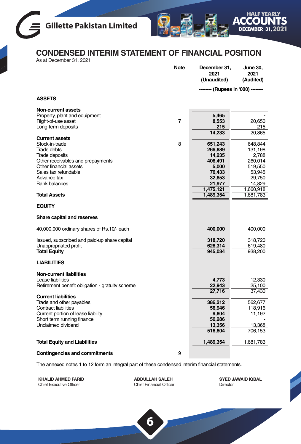



# **CONDENSED INTERIM STATEMENT OF FINANCIAL POSITION**

As at December 31, 2021

|                                                                                                                                                                                                                                                          | <b>Note</b> | December 31,<br>2021<br>(Unaudited)                                                 | June 30,<br>2021<br>(Audited)                                                |
|----------------------------------------------------------------------------------------------------------------------------------------------------------------------------------------------------------------------------------------------------------|-------------|-------------------------------------------------------------------------------------|------------------------------------------------------------------------------|
|                                                                                                                                                                                                                                                          |             | - (Rupees in '000) -                                                                |                                                                              |
| <b>ASSETS</b>                                                                                                                                                                                                                                            |             |                                                                                     |                                                                              |
| <b>Non-current assets</b><br>Property, plant and equipment<br>Right-of-use asset<br>Long-term deposits<br><b>Current assets</b><br>Stock-in-trade<br><b>Trade debts</b><br>Trade deposits<br>Other receivables and prepayments<br>Other financial assets | 7<br>8      | 5,465<br>8,553<br>215<br>14,233<br>651,243<br>266,889<br>14,235<br>406,491<br>5,000 | 20,650<br>215<br>20,865<br>648,844<br>131,198<br>2,788<br>260,014<br>519,550 |
| Sales tax refundable<br>Advance tax<br><b>Bank balances</b><br><b>Total Assets</b>                                                                                                                                                                       |             | 76,433<br>32,853<br>21,977<br>1,475,121<br>1,489,354                                | 53,945<br>29,750<br>14,829<br>1,660,918<br>1,681,783                         |
| <b>EQUITY</b>                                                                                                                                                                                                                                            |             |                                                                                     |                                                                              |
| Share capital and reserves                                                                                                                                                                                                                               |             |                                                                                     |                                                                              |
| 40,000,000 ordinary shares of Rs.10/- each                                                                                                                                                                                                               |             | 400,000                                                                             | 400,000                                                                      |
| Issued, subscribed and paid-up share capital<br>Unappropriated profit<br><b>Total Equity</b>                                                                                                                                                             |             | 318,720<br>626,314<br>945,034                                                       | 318,720<br>619,480<br>938,200                                                |
| <b>LIABILITIES</b>                                                                                                                                                                                                                                       |             |                                                                                     |                                                                              |
| <b>Non-current liabilities</b><br>Lease liabilities<br>Retirement benefit obligation - gratuity scheme                                                                                                                                                   |             | 4,773<br>22,943<br>27,716                                                           | 12,330<br>25,100<br>37,430                                                   |
| <b>Current liabilities</b><br>Trade and other payables<br><b>Contract liabilities</b><br>Current portion of lease liability<br>Short term running finance<br>Unclaimed dividend                                                                          |             | 386,212<br>56,946<br>9,804<br>50,286<br>13,356<br>516,604                           | 562,677<br>118,916<br>11,192<br>13,368<br>706,153                            |
| <b>Total Equity and Liabilities</b>                                                                                                                                                                                                                      |             | 1,489,354                                                                           | 1,681,783                                                                    |
| <b>Contingencies and commitments</b>                                                                                                                                                                                                                     | 9           |                                                                                     |                                                                              |

The annexed notes 1 to 12 form an integral part of these condensed interim financial statements.

**KHALID AHMED FARID** Chief Executive Officer

**ABDULLAH SALEH** Chief Financial Officer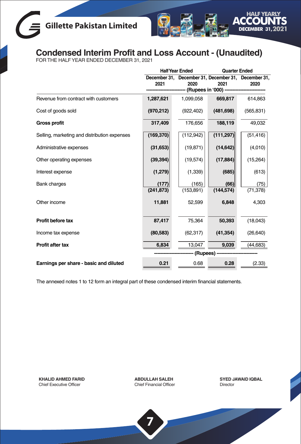# **Gillette Pakistan Limited**



# **Condensed Interim Profit and Loss Account - (Unaudited)** FOR THE HALF YEAR ENDED DECEMBER 31, 2021

|                                              |            | <b>Half Year Ended</b>                                      |            | <b>Quarter Ended</b> |  |
|----------------------------------------------|------------|-------------------------------------------------------------|------------|----------------------|--|
|                                              | 2021       | December 31, December 31, December 31, December 31,<br>2020 | 2021       | 2020                 |  |
|                                              |            | (Rupees in '000) --                                         |            |                      |  |
| Revenue from contract with customers         | 1,287,621  | 1,099,058                                                   | 669,817    | 614,863              |  |
| Cost of goods sold                           | (970, 212) | (922, 402)                                                  | (481, 698) | (565, 831)           |  |
| <b>Gross profit</b>                          | 317,409    | 176,656                                                     | 188,119    | 49,032               |  |
| Selling, marketing and distribution expenses | (169, 370) | (112,942)                                                   | (111, 297) | (51, 416)            |  |
| Administrative expenses                      | (31,653)   | (19, 871)                                                   | (14, 642)  | (4,010)              |  |
| Other operating expenses                     | (39, 394)  | (19, 574)                                                   | (17, 884)  | (15,264)             |  |
| Interest expense                             | (1, 279)   | (1, 339)                                                    | (685)      | (613)                |  |
| <b>Bank charges</b>                          | (177)      | (165)                                                       | (66)       | (75)                 |  |
|                                              | (241, 873) | (153, 891)                                                  | (144, 574) | (71, 378)            |  |
| Other income                                 | 11,881     | 52,599                                                      | 6,848      | 4,303                |  |
| Profit before tax                            | 87,417     | 75,364                                                      | 50,393     | (18,043)             |  |
| Income tax expense                           | (80, 583)  | (62, 317)                                                   | (41, 354)  | (26, 640)            |  |
| Profit after tax                             | 6,834      | 13,047                                                      | 9,039      | (44, 683)            |  |
|                                              | (Rupees)   |                                                             |            |                      |  |
| Earnings per share - basic and diluted       | 0.21       | 0.68                                                        | 0.28       | (2.33)               |  |

The annexed notes 1 to 12 form an integral part of these condensed interim financial statements.

**KHALID AHMED FARID** Chief Executive Officer

**ABDULLAH SALEH** Chief Financial Officer

**7**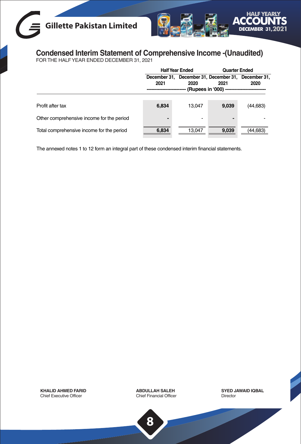# **Gillette Pakistan Limited**



# **Condensed Interim Statement of Comprehensive Income -(Unaudited)** FOR THE HALF YEAR ENDED DECEMBER 31, 2021

|                                           | <b>Half Year Ended</b> |                                                             | <b>Quarter Ended</b> |           |
|-------------------------------------------|------------------------|-------------------------------------------------------------|----------------------|-----------|
|                                           | 2021                   | December 31, December 31, December 31, December 31,<br>2020 | 2021                 | 2020      |
| Profit after tax                          | 6,834                  | 13.047                                                      | 9.039                | (44, 683) |
| Other comprehensive income for the period | -                      | $\overline{\phantom{0}}$                                    |                      |           |
| Total comprehensive income for the period | 6.834                  | 13.047                                                      | 9,039                | (44.683)  |

The annexed notes 1 to 12 form an integral part of these condensed interim financial statements.

**KHALID AHMED FARID** Chief Executive Officer

**ABDULLAH SALEH** Chief Financial Officer **SYED JAWAID IQBAL** Director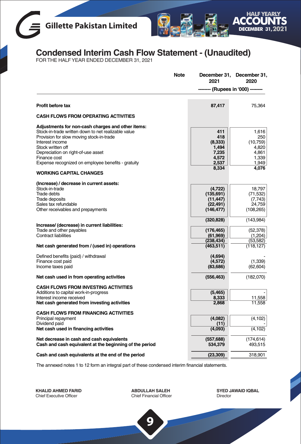



# **Condensed Interim Cash Flow Statement - (Unaudited)** FOR THE HALF YEAR ENDED DECEMBER 31, 2021

| <b>Note</b>                                                                                                                                                                                                                                                                                              | December 31,<br>2021                                           | December 31,<br>2020                                                   |
|----------------------------------------------------------------------------------------------------------------------------------------------------------------------------------------------------------------------------------------------------------------------------------------------------------|----------------------------------------------------------------|------------------------------------------------------------------------|
|                                                                                                                                                                                                                                                                                                          |                                                                | - (Rupees in '000) -                                                   |
| Profit before tax                                                                                                                                                                                                                                                                                        | 87,417                                                         | 75.364                                                                 |
| <b>CASH FLOWS FROM OPERATING ACTIVITIES</b>                                                                                                                                                                                                                                                              |                                                                |                                                                        |
| Adjustments for non-cash charges and other items:<br>Stock-in-trade written down to net realizable value<br>Provision for slow moving stock-in-trade<br>Interest income<br>Stock written off<br>Depreciation on right-of-use asset<br>Finance cost<br>Expense recognized on employee benefits - gratuity | 411<br>418<br>(8,333)<br>1,494<br>7.235<br>4,572<br>2,537      | 1.616<br>250<br>(10, 759)<br>4,820<br>4.861<br>1,339<br>1,949<br>4,076 |
| <b>WORKING CAPITAL CHANGES</b>                                                                                                                                                                                                                                                                           | 8,334                                                          |                                                                        |
| (Increase) / decrease in current assets:<br>Stock-in-trade<br>Trade debts<br>Trade deposits<br>Sales tax refundable<br>Other receivables and prepayments                                                                                                                                                 | (4, 722)<br>(135, 691)<br>(11, 447)<br>(22, 491)<br>(146, 477) | 18.797<br>(71, 532)<br>(7, 743)<br>24,759<br>(108, 265)                |
| Increase/ (decrease) in current liabilities:<br>Trade and other payables                                                                                                                                                                                                                                 | (320, 828)<br>(176, 465)                                       | (143, 984)<br>(52,378)                                                 |
| <b>Contract liabilities</b><br>Net cash generated from / (used in) operations                                                                                                                                                                                                                            | (61, 969)<br>(238, 434)<br>(463, 511)                          | (1,204)<br>(53, 582)<br>(118, 127)                                     |
| Defined benefits (paid) / withdrawal<br>Finance cost paid<br>Income taxes paid                                                                                                                                                                                                                           | (4,694)<br>(4,572)<br>(83, 686)                                | (1, 339)<br>(62, 604)                                                  |
| Net cash used in from operating activities                                                                                                                                                                                                                                                               | (556, 463)                                                     | (182,070)                                                              |
| <b>CASH FLOWS FROM INVESTING ACTIVITIES</b><br>Additions to capital work-in-progress<br>Interest income received<br>Net cash generated from investing activities                                                                                                                                         | (5, 465)<br>8,333<br>2.868                                     | 11,558<br>11,558                                                       |
| <b>CASH FLOWS FROM FINANCING ACTIVITIES</b><br>Principal repayment<br>Dividend paid<br>Net cash used in financing activities                                                                                                                                                                             | (4,082)<br>(11)<br>(4,093)                                     | (4, 102)<br>(4, 102)                                                   |
| Net decrease in cash and cash equivalents<br>Cash and cash equivalent at the beginning of the period                                                                                                                                                                                                     | (557, 688)<br>534,379                                          | (174, 614)<br>493,515                                                  |
| Cash and cash equivalents at the end of the period                                                                                                                                                                                                                                                       | (23, 309)                                                      | 318,901                                                                |

The annexed notes 1 to 12 form an integral part of these condensed interim financial statements.

**KHALID AHMED FARID** Chief Executive Officer

**ABDULLAH SALEH** Chief Financial Officer

**9**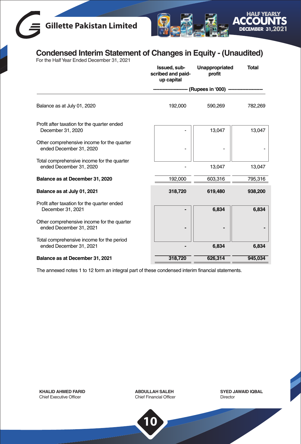# **Gillette Pakistan Limited**



# **Condensed Interim Statement of Changes in Equity - (Unaudited)** For the Half Year Ended December 31, 2021

|                                                                       | Issued, sub-<br>scribed and paid-<br>up capital | Unappropriated<br>profit | <b>Total</b> |
|-----------------------------------------------------------------------|-------------------------------------------------|--------------------------|--------------|
|                                                                       |                                                 | (Rupees in '000) -       |              |
| Balance as at July 01, 2020                                           | 192,000                                         | 590,269                  | 782,269      |
| Profit after taxation for the quarter ended<br>December 31, 2020      |                                                 | 13,047                   | 13,047       |
| Other comprehensive income for the quarter<br>ended December 31, 2020 |                                                 |                          |              |
| Total comprehensive income for the quarter<br>ended December 31, 2020 |                                                 | 13,047                   | 13,047       |
| Balance as at December 31, 2020                                       | 192,000                                         | 603,316                  | 795,316      |
| Balance as at July 01, 2021                                           | 318,720                                         | 619,480                  | 938,200      |
| Profit after taxation for the quarter ended<br>December 31, 2021      |                                                 | 6,834                    | 6,834        |
|                                                                       |                                                 |                          |              |
| Other comprehensive income for the quarter<br>ended December 31, 2021 |                                                 |                          |              |
| Total comprehensive income for the period<br>ended December 31, 2021  |                                                 | 6,834                    | 6,834        |
| Balance as at December 31, 2021                                       | 318,720                                         | 626,314                  | 945,034      |

The annexed notes 1 to 12 form an integral part of these condensed interim financial statements.

**KHALID AHMED FARID** Chief Executive Officer

**ABDULLAH SALEH** Chief Financial Officer

**10**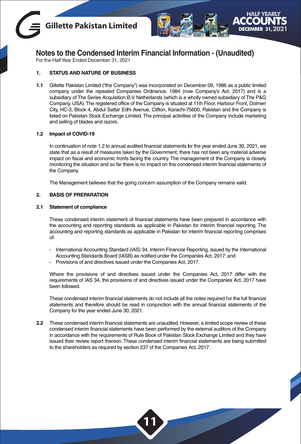



For the Half Year Ended December 31, 2021

# **1. STATUS AND NATURE OF BUSINESS**

**1.1** Gillette Pakistan Limited ("the Company") was incorporated on December 09, 1986 as a public limited company under the repealed Companies Ordinance, 1984 (now Company's Act, 2017) and is a subsidiary of The Series Acquisition B.V. Netherlands (which is a wholly owned subsidiary of The P&G Company, USA).The registered office of the Company is situated at 11th Floor, Harbour Front, Dolmen City, HC-3, Block 4, Abdul Sattar Edhi Avenue, Clifton, Karachi-75600, Pakistan and the Company is listed on Pakistan Stock Exchange Limited. The principal activities of the Company include marketing and selling of blades and razors.

## **1.2 Impact of COVID-19**

In continuation of note 1.2 to annual audited financial statements for the year ended June 30, 2021, we state that as a result of measures taken by the Government, there has not been any material adverse impact on fiscal and economic fronts facing the country. The management of the Company is closely monitoring the situation and so far there is no impact on this condensed interim financial statements of the Company.

The Management believes that the going concern assumption of the Company remains valid.

## **2. BASIS OF PREPARATION**

## **2.1 Statement of compliance**

These condensed interim statement of financial statements have been prepared in accordance with the accounting and reporting standards as applicable in Pakistan for interim financial reporting. The accounting and reporting standards as applicable in Pakistan for interim financial reporting comprises of:

- International Accounting Standard (IAS) 34, Interim Financial Reporting, issued by the International Accounting Standards Board (IASB) as notified under the Companies Act, 2017; and
- Provisions of and directives issued under the Companies Act, 2017.

Where the provisions of and directives issued under the Companies Act, 2017 differ with the requirements of IAS 34, the provisions of and directives issued under the Companies Act, 2017 have been followed.

These condensed interim financial statements do not include all the notes required for the full financial statements and therefore should be read in conjunction with the annual financial statements of the Company for the year ended June 30, 2021.

**2.2** These condensed interim financial statements are unaudited. However, a limited scope review of these condensed interim financial statements have been performed by the external auditors of the Company in accordance with the requirements of Rule Book of Pakistan Stock Exchange Limited and they have issued their review report thereon.These condensed interim financial statements are being submitted to the shareholders as required by section 237 of the Companies Act, 2017.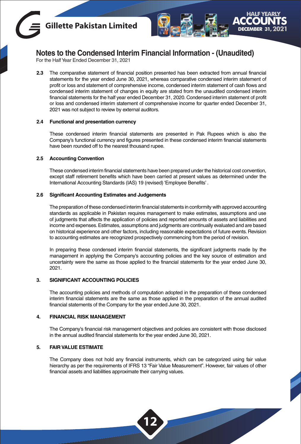



For the Half Year Ended December 31, 2021

**2.3** The comparative statement of financial position presented has been extracted from annual financial statements for the year ended June 30, 2021, whereas comparative condensed interim statement of profit or loss and statement of comprehensive income, condensed interim statement of cash flows and condensed interim statement of changes in equity are stated from the unaudited condensed interim financial statements for the half year ended December 31, 2020. Condensed interim statement of profit or loss and condensed interim statement of comprehensive income for quarter ended December 31, 2021 was not subject to review by external auditors.

## **2.4 Functional and presentation currency**

These condensed interim financial statements are presented in Pak Rupees which is also the Company's functional currency and figures presented in these condensed interim financial statements have been rounded off to the nearest thousand rupee.

#### **2.5 Accounting Convention**

These condensed interim financial statements have been prepared under the historical cost convention, except staff retirement benefits which have been carried at present values as determined under the International Accounting Standards (IAS) 19 (revised) 'Employee Benefits' .

## **2.6 Significant Accounting Estimates and Judgements**

The preparation of these condensed interim financial statements in conformity with approved accounting standards as applicable in Pakistan requires management to make estimates, assumptions and use of judgments that affects the application of policies and reported amounts of assets and liabilities and income and expenses. Estimates, assumptions and judgments are continually evaluated and are based on historical experience and other factors, including reasonable expectations of future events. Revision to accounting estimates are recognized prospectively commencing from the period of revision.

In preparing these condensed interim financial statements, the significant judgments made by the management in applying the Company's accounting policies and the key source of estimation and uncertainty were the same as those applied to the financial statements for the year ended June 30, 2021.

# **3. SIGNIFICANT ACCOUNTING POLICIES**

The accounting policies and methods of computation adopted in the preparation of these condensed interim financial statements are the same as those applied in the preparation of the annual audited financial statements of the Company for the year ended June 30, 2021.

## **4. FINANCIAL RISK MANAGEMENT**

The Company's financial risk management objectives and policies are consistent with those disclosed in the annual audited financial statements for the year ended June 30, 2021.

# **5. FAIR VALUE ESTIMATE**

The Company does not hold any financial instruments, which can be categorized using fair value hierarchy as per the requirements of IFRS 13 "Fair Value Measurement". However, fair values of other financial assets and liabilities approximate their carrying values.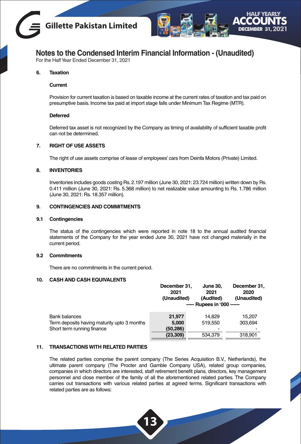



For the Half Year Ended December 31, 2021

# **6. Taxation**

## **Current**

Provision for current taxation is based on taxable income at the current rates of taxation and tax paid on presumptive basis. Income tax paid at import stage falls under Minimum Tax Regime (MTR).

## **Deferred**

Deferred tax asset is not recognized by the Company as timing of availability of sufficient taxable profit can not be determined.

#### **7. RIGHT OF USE ASSETS**

The right of use assets comprise of lease of employees' cars from Deinfa Motors (Private) Limited.

## **8. INVENTORIES**

Inventories includes goods costing Rs. 2.197 million (June 30, 2021: 23.724 million) written down by Rs. 0.411 million (June 30, 2021: Rs. 5.368 million) to net realizable value amounting to Rs. 1.786 million (June 30, 2021: Rs. 18.357 million).

# **9. CONTINGENCIES AND COMMITMENTS**

#### **9.1 Contingencies**

The status of the contingencies which were reported in note 18 to the annual audited financial statements of the Company for the year ended June 30, 2021 have not changed materially in the current period.

#### **9.2 Commitments**

There are no commitments in the current period.

## **10. CASH AND CASH EQUIVALENTS**

|                                             | December 31.<br>2021<br>(Unaudited) | <b>June 30.</b><br>2021<br>(Audited) | December 31,<br>2020<br>(Unaudited) |
|---------------------------------------------|-------------------------------------|--------------------------------------|-------------------------------------|
|                                             |                                     | ----- Rupees in '000 ------          |                                     |
| Bank balances                               | 21.977                              | 14.829                               | 15.207                              |
| Term deposits having maturity upto 3 months | 5.000                               | 519.550                              | 303.694                             |
| Short term running finance                  | (50,286)                            |                                      |                                     |
|                                             | (23, 309)                           | 534.379                              | 318.901                             |

# **11. TRANSACTIONS WITH RELATED PARTIES**

The related parties comprise the parent company (The Series Acquisition B.V., Netherlands), the ultimate parent company (The Procter and Gamble Company USA), related group companies, companies in which directors are interested, staff retirement benefit plans, directors, key management personnel and close member of the family of all the aforementioned related parties. The Company carries out transactions with various related parties at agreed terms. Significant transactions with related parties are as follows: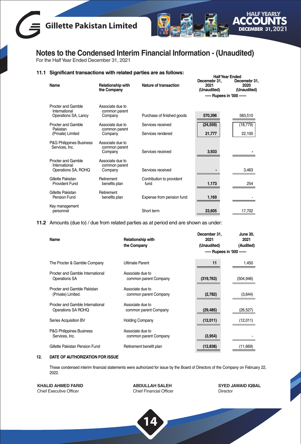



For the Half Year Ended December 31, 2021

# **11.1 Significant transactions with related parties are as follows:**

| Name                                                        | Relationship with<br>the Company             | Nature of transaction             | Decemebr 31.<br>2021<br>(Unaudited) | Decemebr 31,<br>2020<br>(Unaudited) |
|-------------------------------------------------------------|----------------------------------------------|-----------------------------------|-------------------------------------|-------------------------------------|
|                                                             |                                              |                                   | ----- Rupees in '000 ------         |                                     |
| Procter and Gamble<br>International<br>Operations SA, Lancy | Associate due to<br>common parent<br>Company | Purchase of finished goods        | 570,396                             | 583,510                             |
| Procter and Gamble                                          | Associate due to                             | Services received                 | (24, 559)                           | (18, 779)                           |
| Pakistan<br>(Private) Limited                               | common parent<br>Company                     | Services rendered                 | 21,777                              | 22,100                              |
| P&G Philippines Business<br>Services, Inc.                  | Associate due to<br>common parent<br>Company | Services received                 | 3,933                               |                                     |
| Procter and Gamble<br>International<br>Operations SA, ROHQ  | Associate due to<br>common parent<br>Company | Services received                 |                                     | 3,463                               |
| Gillette Pakistan<br>Provident Fund                         | Retirement<br>benefits plan                  | Contribution to provident<br>fund | 1,173                               | 254                                 |
| Gillette Pakistan<br>Pension Fund                           | Retirement<br>benefits plan                  | Expense from pension fund         | 1,169                               |                                     |
| Key management<br>personnel                                 |                                              | Short term                        | 23,605                              | 17,702                              |

**11.2** Amounts (due to) / due from related parties as at period end are shown as under:

| Name                                                     | <b>Relationship with</b><br>the Company   | December 31.<br>2021<br>(Unaudited) | June 30.<br>2021<br>(Audited) |
|----------------------------------------------------------|-------------------------------------------|-------------------------------------|-------------------------------|
|                                                          |                                           | ----- Rupees in '000 ------         |                               |
| The Procter & Gamble Company                             | <b>Ultimate Parent</b>                    | 11                                  | 1,450                         |
| Procter and Gamble International<br><b>Operations SA</b> | Associate due to<br>common parent Company | (319, 763)                          | (504,946)                     |
| Procter and Gamble Pakistan<br>(Private) Limited.        | Associate due to<br>common parent Company | (2,782)                             | (3,644)                       |
| Procter and Gamble International<br>Operations SA ROHQ   | Associate due to<br>common parent Company | (29, 485)                           | (26, 527)                     |
| Series Acquisition BV                                    | <b>Holding Company</b>                    | (12,011)                            | (12,011)                      |
| <b>P&amp;G Philippines Business</b><br>Services, Inc.    | Associate due to<br>common parent Company | (3,954)                             |                               |
| Gillette Pakistan Pension Fund                           | Retirement benefit plan                   | (12, 838)                           | (11,669)                      |

#### **12. DATE OF AUTHORIZATION FOR ISSUE**

These condensed interim financial statements were authorized for issue by the Board of Directors of the Company on February 22, 2022.

**KHALID AHMED FARID** Chief Executive Officer

**ABDULLAH SALEH** Chief Financial Officer

**14**